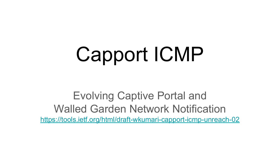# Capport ICMP

Evolving Captive Portal and Walled Garden Network Notification <https://tools.ietf.org/html/draft-wkumari-capport-icmp-unreach-02>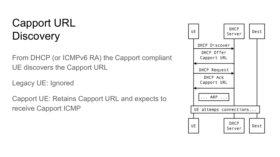#### Capport URL **Discovery**

From DHCP (or ICMPv6 RA) the Capport compliant UE discovers the Capport URL

Legacy UE: Ignored

Capport UE: Retains Capport URL and expects to receive Capport ICMP

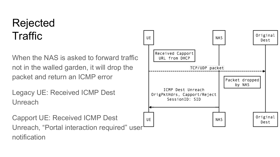#### Rejected **Traffic**

When the NAS is asked to forward traffic not in the walled garden, it will drop the packet and return an ICMP error

Legacy UE: Received ICMP Dest Unreach

Capport UE: Received ICMP Dest Unreach, "Portal interaction required" user notification

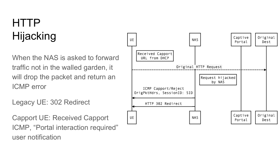# HTTP Hijacking

When the NAS is asked to forward traffic not in the walled garden, it will drop the packet and return an ICMP error

Legacy UE: 302 Redirect

Capport UE: Received Capport ICMP, "Portal interaction required" user notification

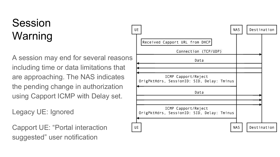# Session Warning

A session may end for several reasons including time or data limitations that are approaching. The NAS indicates the pending change in authorization using Capport ICMP with Delay set.

Legacy UE: Ignored

Capport UE: "Portal interaction suggested" user notification

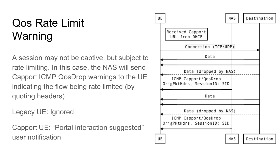#### Qos Rate Limit Warning

A session may not be captive, but subject to rate limiting. In this case, the NAS will send Capport ICMP QosDrop warnings to the UE indicating the flow being rate limited (by quoting headers)

Legacy UE: Ignored

Capport UE: "Portal interaction suggested" user notification

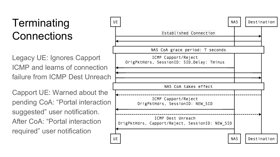## **Terminating Connections**

Legacy UE: Ignores Capport ICMP and learns of connection failure from ICMP Dest Unreach

Capport UE: Warned about the pending CoA: "Portal interaction suggested" user notification. After CoA: "Portal interaction required" user notification

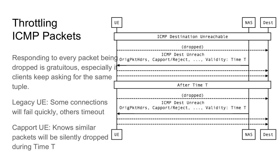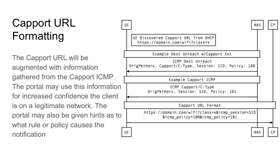## Capport URL Formatting

The Capport URL will be augmented with information gathered from the Capport ICMP. The portal may use this information for increased confidence the client is on a legitimate network. The portal may also be given hints as to what rule or policy causes the notification

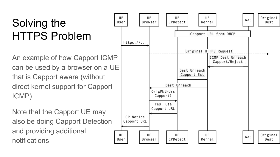## Solving the HTTPS Problem

An example of how Capport ICMP can be used by a browser on a UE that is Capport aware (without direct kernel support for Capport ICMP)

Note that the Capport UE may also be doing Capport Detection and providing additional notifications